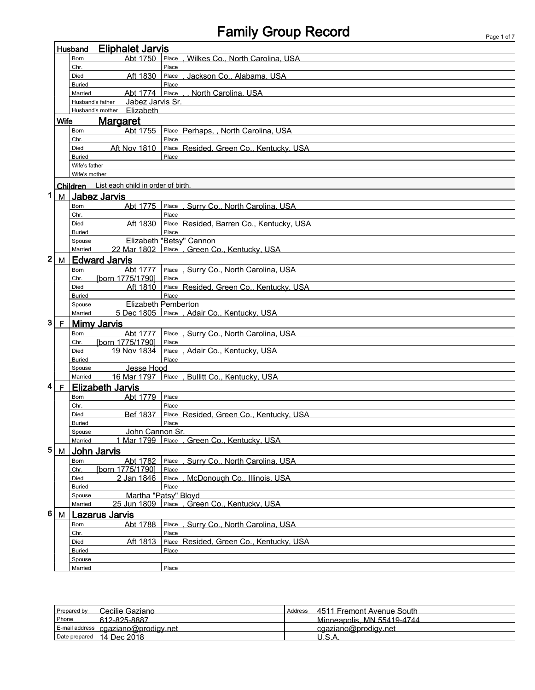## Family Group Record **Family Group Record**

|             |                | <b>Eliphalet Jarvis</b><br>Husband         |                                               |  |  |  |
|-------------|----------------|--------------------------------------------|-----------------------------------------------|--|--|--|
|             |                | Abt 1750<br>Born                           | , Wilkes Co., North Carolina, USA<br>Place    |  |  |  |
|             |                | Chr.                                       | Place                                         |  |  |  |
|             |                | Aft 1830<br>Died                           | , Jackson Co., Alabama, USA<br>Place          |  |  |  |
|             |                | <b>Buried</b>                              | Place                                         |  |  |  |
|             |                | Abt 1774<br>Married                        | Place<br>North Carolina, USA                  |  |  |  |
|             |                | Jabez Jarvis Sr.<br>Husband's father       |                                               |  |  |  |
|             |                | Husband's mother Elizabeth                 |                                               |  |  |  |
|             | <b>Wife</b>    | <b>Margaret</b>                            |                                               |  |  |  |
|             |                | Abt 1755<br>Born                           | Place Perhaps,, North Carolina, USA           |  |  |  |
|             |                | Chr.                                       | Place                                         |  |  |  |
|             |                | <b>Aft Nov 1810</b><br>Died                | Place Resided, Green Co., Kentucky, USA       |  |  |  |
|             |                | <b>Buried</b>                              | Place                                         |  |  |  |
|             |                | Wife's father                              |                                               |  |  |  |
|             |                | Wife's mother                              |                                               |  |  |  |
|             |                | Children List each child in order of birth |                                               |  |  |  |
| 1           | M <sub>1</sub> | <b>Jabez Jarvis</b>                        |                                               |  |  |  |
|             |                | Abt 1775<br>Born                           | Place, Surry Co., North Carolina, USA         |  |  |  |
|             |                | Chr.                                       | Place                                         |  |  |  |
|             |                | Aft 1830<br>Died                           | Place Resided, Barren Co., Kentucky, USA      |  |  |  |
|             |                | <b>Buried</b>                              | Place                                         |  |  |  |
|             |                | Spouse                                     | Elizabeth "Betsy" Cannon                      |  |  |  |
|             |                | Married                                    | 22 Mar 1802 Place . Green Co., Kentucky, USA  |  |  |  |
| $\mathbf 2$ | M              | <b>Edward Jarvis</b>                       |                                               |  |  |  |
|             |                | Abt 1777<br>Born                           | Place, Surry Co., North Carolina, USA         |  |  |  |
|             |                | [born 1775/1790]<br>Chr.                   | Place                                         |  |  |  |
|             |                | Aft 1810<br>Died                           | Place Resided, Green Co., Kentucky, USA       |  |  |  |
|             |                | <b>Buried</b>                              | Place                                         |  |  |  |
|             |                | Spouse                                     | Elizabeth Pemberton                           |  |  |  |
|             |                | Married                                    | 5 Dec 1805 Place , Adair Co., Kentucky, USA   |  |  |  |
| 3           | F              | <b>Mimy Jarvis</b>                         |                                               |  |  |  |
|             |                | <b>Born</b><br>Abt 1777                    | Place, Surry Co., North Carolina, USA         |  |  |  |
|             |                | [born 1775/1790]<br>Chr.                   | Place                                         |  |  |  |
|             |                | 19 Nov 1834<br>Died                        | , Adair Co., Kentucky, USA<br>Place           |  |  |  |
|             |                | <b>Buried</b>                              | Place                                         |  |  |  |
|             |                | Jesse Hood<br>Spouse                       |                                               |  |  |  |
|             |                | Married                                    | 16 Mar 1797 Place, Bullitt Co., Kentucky, USA |  |  |  |
| 4           | F              | <b>Elizabeth Jarvis</b>                    |                                               |  |  |  |
|             |                | Abt 1779<br>Born                           | Place                                         |  |  |  |
|             |                | Chr.                                       | Place                                         |  |  |  |
|             |                | Bef 1837<br>Died                           | Place Resided, Green Co., Kentucky, USA       |  |  |  |
|             |                | <b>Buried</b>                              | Place                                         |  |  |  |
|             |                | John Cannon Sr.<br>Spouse                  |                                               |  |  |  |
|             |                | Married                                    | 1 Mar 1799 Place, Green Co., Kentucky, USA    |  |  |  |
| 5           | M              | <b>John Jarvis</b>                         |                                               |  |  |  |
|             |                | Abt 1782<br>Born                           | , Surry Co., North Carolina, USA<br>Place     |  |  |  |
|             |                | [born 1775/1790]<br>Chr.                   | Place                                         |  |  |  |
|             |                | 2 Jan 1846<br>Died                         | , McDonough Co., Illinois, USA<br>Place       |  |  |  |
|             |                | <b>Buried</b>                              | Place                                         |  |  |  |
|             |                | Spouse                                     | Martha "Patsy" Bloyd                          |  |  |  |
|             |                | 25 Jun 1809<br>Married                     | Place , Green Co., Kentucky, USA              |  |  |  |
| 6           | M              | <b>Lazarus Jarvis</b>                      |                                               |  |  |  |
|             |                | Abt 1788<br>Born                           | Place, Surry Co., North Carolina, USA         |  |  |  |
|             |                | Chr.                                       | Place                                         |  |  |  |
|             |                | Aft 1813<br>Died                           | Place Resided, Green Co., Kentucky, USA       |  |  |  |
|             |                | <b>Buried</b>                              | Place                                         |  |  |  |
|             |                | Spouse                                     |                                               |  |  |  |
|             |                | Married                                    | Place                                         |  |  |  |

| Prepared by<br>Cecilie Gaziano      | 4511 Fremont Avenue South<br>Address |
|-------------------------------------|--------------------------------------|
| Phone<br>612-825-8887               | Minneapolis, MN 55419-4744           |
| E-mail address cgaziano@prodigy.net | cgaziano@prodigy.net                 |
| Date prepared 14 Dec 2018           | 11 C <i>I</i>                        |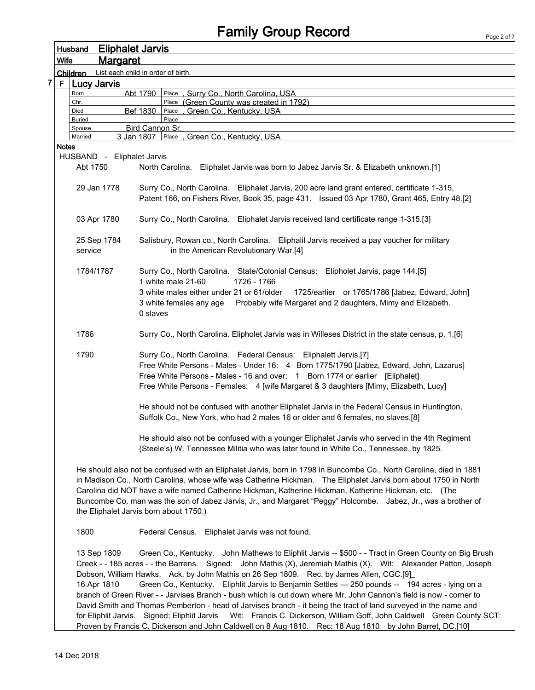## Family Group Record

|  |       | <b>Husband</b> | <b>Eliphalet Jarvis</b>    |                                                                                                                                                                                                                                                                                                                                                                                                                                                                                                                                                 |
|--|-------|----------------|----------------------------|-------------------------------------------------------------------------------------------------------------------------------------------------------------------------------------------------------------------------------------------------------------------------------------------------------------------------------------------------------------------------------------------------------------------------------------------------------------------------------------------------------------------------------------------------|
|  | Wife  |                | <u>Margaret</u>            |                                                                                                                                                                                                                                                                                                                                                                                                                                                                                                                                                 |
|  |       | Children       |                            | List each child in order of birth.                                                                                                                                                                                                                                                                                                                                                                                                                                                                                                              |
|  | F     |                | <b>Lucy Jarvis</b>         |                                                                                                                                                                                                                                                                                                                                                                                                                                                                                                                                                 |
|  |       | Born           |                            | Abt 1790<br>Place, Surry Co., North Carolina, USA                                                                                                                                                                                                                                                                                                                                                                                                                                                                                               |
|  |       | Chr.<br>Died   |                            | Place (Green County was created in 1792)<br>Bef 1830<br>Green Co., Kentucky, USA<br>Place                                                                                                                                                                                                                                                                                                                                                                                                                                                       |
|  |       | <b>Buried</b>  |                            | Place                                                                                                                                                                                                                                                                                                                                                                                                                                                                                                                                           |
|  |       | Spouse         |                            | Bird Cannon Sr.                                                                                                                                                                                                                                                                                                                                                                                                                                                                                                                                 |
|  | Notes | Married        |                            | 3 Jan 1807   Place<br>Green Co., Kentucky, USA                                                                                                                                                                                                                                                                                                                                                                                                                                                                                                  |
|  |       |                | HUSBAND - Eliphalet Jarvis |                                                                                                                                                                                                                                                                                                                                                                                                                                                                                                                                                 |
|  |       | Abt 1750       |                            | North Carolina. Eliphalet Jarvis was born to Jabez Jarvis Sr. & Elizabeth unknown.[1]                                                                                                                                                                                                                                                                                                                                                                                                                                                           |
|  |       |                | 29 Jan 1778                | Surry Co., North Carolina. Eliphalet Jarvis, 200 acre land grant entered, certificate 1-315,<br>Patent 166, on Fishers River, Book 35, page 431. Issued 03 Apr 1780, Grant 465, Entry 48.[2]                                                                                                                                                                                                                                                                                                                                                    |
|  |       |                | 03 Apr 1780                | Surry Co., North Carolina. Eliphalet Jarvis received land certificate range 1-315.[3]                                                                                                                                                                                                                                                                                                                                                                                                                                                           |
|  |       | service        | 25 Sep 1784                | Salisbury, Rowan co., North Carolina. Eliphalil Jarvis received a pay voucher for military<br>in the American Revolutionary War.[4]                                                                                                                                                                                                                                                                                                                                                                                                             |
|  |       |                | 1784/1787                  | Surry Co., North Carolina. State/Colonial Census: Elipholet Jarvis, page 144.[5]<br>1 white male 21-60<br>1726 - 1766<br>3 white males either under 21 or 61/older<br>1725/earlier or 1765/1786 [Jabez, Edward, John]                                                                                                                                                                                                                                                                                                                           |
|  |       |                |                            | Probably wife Margaret and 2 daughters, Mimy and Elizabeth.<br>3 white females any age<br>0 slaves                                                                                                                                                                                                                                                                                                                                                                                                                                              |
|  |       | 1786           |                            | Surry Co., North Carolina. Elipholet Jarvis was in Willeses District in the state census, p. 1.[6]                                                                                                                                                                                                                                                                                                                                                                                                                                              |
|  |       | 1790           |                            | Surry Co., North Carolina. Federal Census: Eliphalett Jervis.[7]<br>Free White Persons - Males - Under 16: 4 Born 1775/1790 [Jabez, Edward, John, Lazarus]<br>Free White Persons - Males - 16 and over: 1 Born 1774 or earlier [Eliphalet]<br>Free White Persons - Females: 4 [wife Margaret & 3 daughters [Mimy, Elizabeth, Lucy]                                                                                                                                                                                                              |
|  |       |                |                            | He should not be confused with another Eliphalet Jarvis in the Federal Census in Huntington,<br>Suffolk Co., New York, who had 2 males 16 or older and 6 females, no slaves.[8]                                                                                                                                                                                                                                                                                                                                                                 |
|  |       |                |                            | He should also not be confused with a younger Eliphalet Jarvis who served in the 4th Regiment<br>(Steele's) W. Tennessee Militia who was later found in White Co., Tennessee, by 1825.                                                                                                                                                                                                                                                                                                                                                          |
|  |       |                |                            | He should also not be confused with an Eliphalet Jarvis, born in 1798 in Buncombe Co., North Carolina, died in 1881<br>in Madison Co., North Carolina, whose wife was Catherine Hickman. The Eliphalet Jarvis born about 1750 in North<br>Carolina did NOT have a wife named Catherine Hickman, Katherine Hickman, Katherine Hickman, etc. (The<br>Buncombe Co. man was the son of Jabez Jarvis, Jr., and Margaret "Peggy" Holcombe. Jabez, Jr., was a brother of<br>the Eliphalet Jarvis born about 1750.)                                     |
|  |       | 1800           |                            | Federal Census. Eliphalet Jarvis was not found.                                                                                                                                                                                                                                                                                                                                                                                                                                                                                                 |
|  |       |                | 13 Sep 1809<br>16 Apr 1810 | Green Co., Kentucky. John Mathews to Eliphlit Jarvis -- \$500 - - Tract in Green County on Big Brush<br>Creek - - 185 acres - - the Barrens. Signed: John Mathis (X), Jeremiah Mathis (X). Wit: Alexander Patton, Joseph<br>Dobson, William Hawks. Ack. by John Mathis on 26 Sep 1809. Rec. by James Allen, CGC.[9]<br>Green Co., Kentucky. Eliphlit Jarvis to Benjamin Settles --- 250 pounds -- 194 acres - lying on a<br>branch of Green River - - Jarvises Branch - bush which is cut down where Mr. John Cannon's field is now - corner to |
|  |       |                |                            | David Smith and Thomas Pemberton - head of Jarvises branch - it being the tract of land surveyed in the name and<br>for Eliphlit Jarvis. Signed: Eliphlit Jarvis Wit: Francis C. Dickerson, William Goff, John Caldwell Green County SCT:                                                                                                                                                                                                                                                                                                       |

Proven by Francis C. Dickerson and John Caldwell on 8 Aug 1810. Rec: 18 Aug 1810 by John Barret, DC.[10]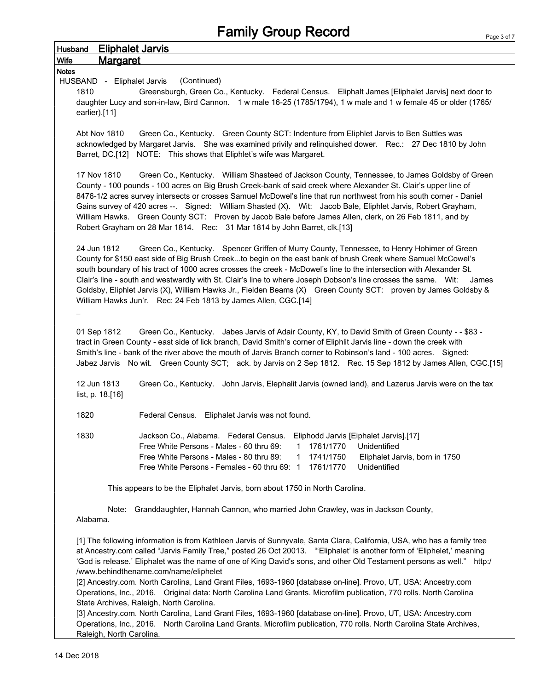| <b>Eliphalet Jarvis</b><br><b>Husband</b>                                                                                                                                                                                                                                                                                                                                                                                                                                                                                                                                                                                                                       |  |
|-----------------------------------------------------------------------------------------------------------------------------------------------------------------------------------------------------------------------------------------------------------------------------------------------------------------------------------------------------------------------------------------------------------------------------------------------------------------------------------------------------------------------------------------------------------------------------------------------------------------------------------------------------------------|--|
| <b>Margaret</b><br>Wife                                                                                                                                                                                                                                                                                                                                                                                                                                                                                                                                                                                                                                         |  |
| <b>Notes</b><br>HUSBAND - Eliphalet Jarvis<br>(Continued)<br>Greensburgh, Green Co., Kentucky. Federal Census. Eliphalt James [Eliphalet Jarvis] next door to<br>1810<br>daughter Lucy and son-in-law, Bird Cannon. 1 w male 16-25 (1785/1794), 1 w male and 1 w female 45 or older (1765/<br>earlier).[11]                                                                                                                                                                                                                                                                                                                                                     |  |
| Green Co., Kentucky. Green County SCT: Indenture from Eliphlet Jarvis to Ben Suttles was<br>Abt Nov 1810<br>acknowledged by Margaret Jarvis. She was examined privily and relinguished dower. Rec.: 27 Dec 1810 by John<br>Barret, DC.[12] NOTE: This shows that Eliphlet's wife was Margaret.                                                                                                                                                                                                                                                                                                                                                                  |  |
| 17 Nov 1810<br>Green Co., Kentucky. William Shasteed of Jackson County, Tennessee, to James Goldsby of Green<br>County - 100 pounds - 100 acres on Big Brush Creek-bank of said creek where Alexander St. Clair's upper line of<br>8476-1/2 acres survey intersects or crosses Samuel McDowel's line that run northwest from his south corner - Daniel<br>Gains survey of 420 acres --. Signed: William Shasted (X). Wit: Jacob Bale, Eliphlet Jarvis, Robert Grayham,<br>William Hawks. Green County SCT: Proven by Jacob Bale before James Allen, clerk, on 26 Feb 1811, and by<br>Robert Grayham on 28 Mar 1814. Rec: 31 Mar 1814 by John Barret, clk.[13]   |  |
| 24 Jun 1812<br>Green Co., Kentucky. Spencer Griffen of Murry County, Tennessee, to Henry Hohimer of Green<br>County for \$150 east side of Big Brush Creekto begin on the east bank of brush Creek where Samuel McCowel's<br>south boundary of his tract of 1000 acres crosses the creek - McDowel's line to the intersection with Alexander St.<br>Clair's line - south and westwardly with St. Clair's line to where Joseph Dobson's line crosses the same. Wit:<br>James<br>Goldsby, Eliphlet Jarvis (X), William Hawks Jr., Fielden Beams (X) Green County SCT: proven by James Goldsby &<br>William Hawks Jun'r. Rec: 24 Feb 1813 by James Allen, CGC.[14] |  |
| Green Co., Kentucky. Jabes Jarvis of Adair County, KY, to David Smith of Green County - - \$83 -<br>01 Sep 1812<br>tract in Green County - east side of lick branch, David Smith's corner of Eliphlit Jarvis line - down the creek with<br>Smith's line - bank of the river above the mouth of Jarvis Branch corner to Robinson's land - 100 acres. Signed:<br>Jabez Jarvis No wit. Green County SCT; ack. by Jarvis on 2 Sep 1812. Rec. 15 Sep 1812 by James Allen, CGC.[15]<br>12 Jun 1813<br>Green Co., Kentucky. John Jarvis, Elephalit Jarvis (owned land), and Lazerus Jarvis were on the tax<br>list, p. 18.[16]                                         |  |
| 1820<br>Federal Census. Eliphalet Jarvis was not found.                                                                                                                                                                                                                                                                                                                                                                                                                                                                                                                                                                                                         |  |
| 1830<br>Jackson Co., Alabama. Federal Census.<br>Eliphodd Jarvis [Eiphalet Jarvis].[17]<br>Free White Persons - Males - 60 thru 69:<br>1761/1770<br>Unidentified<br>1<br>Free White Persons - Males - 80 thru 89:<br>1741/1750<br>Eliphalet Jarvis, born in 1750<br>1<br>Free White Persons - Females - 60 thru 69: 1<br>1761/1770<br>Unidentified                                                                                                                                                                                                                                                                                                              |  |
| This appears to be the Eliphalet Jarvis, born about 1750 in North Carolina.                                                                                                                                                                                                                                                                                                                                                                                                                                                                                                                                                                                     |  |
| Note: Granddaughter, Hannah Cannon, who married John Crawley, was in Jackson County,<br>Alabama.                                                                                                                                                                                                                                                                                                                                                                                                                                                                                                                                                                |  |
| [1] The following information is from Kathleen Jarvis of Sunnyvale, Santa Clara, California, USA, who has a family tree<br>at Ancestry.com called "Jarvis Family Tree," posted 26 Oct 20013. "Eliphalet' is another form of 'Eliphelet,' meaning<br>'God is release.' Eliphalet was the name of one of King David's sons, and other Old Testament persons as well."<br>http:/<br>/www.behindthename.com/name/eliphelet                                                                                                                                                                                                                                          |  |
| [2] Ancestry.com. North Carolina, Land Grant Files, 1693-1960 [database on-line]. Provo, UT, USA: Ancestry.com<br>Operations, Inc., 2016. Original data: North Carolina Land Grants. Microfilm publication, 770 rolls. North Carolina<br>State Archives, Raleigh, North Carolina.                                                                                                                                                                                                                                                                                                                                                                               |  |
| [3] Ancestry.com. North Carolina, Land Grant Files, 1693-1960 [database on-line]. Provo, UT, USA: Ancestry.com<br>Operations, Inc., 2016. North Carolina Land Grants. Microfilm publication, 770 rolls. North Carolina State Archives,                                                                                                                                                                                                                                                                                                                                                                                                                          |  |

Raleigh, North Carolina.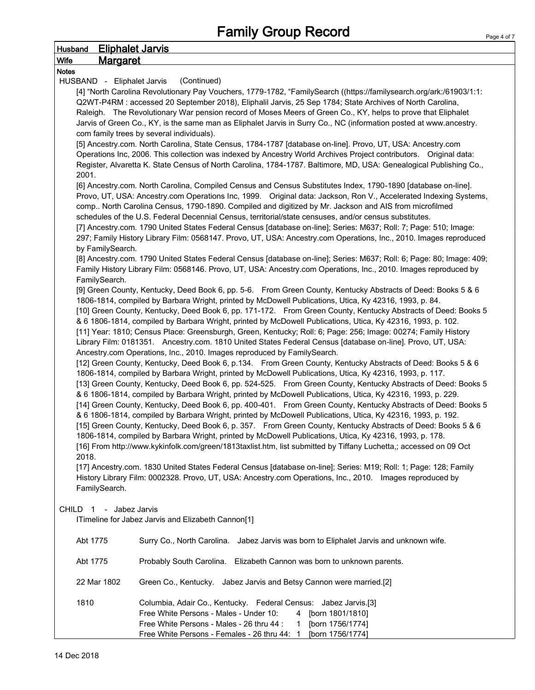| <b>Husband</b> |                            | <b>Eliphalet Jarvis</b>                                                                                              |
|----------------|----------------------------|----------------------------------------------------------------------------------------------------------------------|
| <b>Wife</b>    | <b>Margaret</b>            |                                                                                                                      |
| <b>Notes</b>   |                            |                                                                                                                      |
|                | HUSBAND - Eliphalet Jarvis | (Continued)                                                                                                          |
|                |                            | [4] "North Carolina Revolutionary Pay Vouchers, 1779-1782, "FamilySearch ((https://familysearch.org/ark:/61903/1:1:  |
|                |                            | Q2WT-P4RM : accessed 20 September 2018), Eliphalil Jarvis, 25 Sep 1784; State Archives of North Carolina,            |
|                |                            | Raleigh. The Revolutionary War pension record of Moses Meers of Green Co., KY, helps to prove that Eliphalet         |
|                |                            | Jarvis of Green Co., KY, is the same man as Eliphalet Jarvis in Surry Co., NC (information posted at www.ancestry.   |
|                |                            | com family trees by several individuals).                                                                            |
|                |                            | [5] Ancestry.com. North Carolina, State Census, 1784-1787 [database on-line]. Provo, UT, USA: Ancestry.com           |
|                |                            | Operations Inc, 2006. This collection was indexed by Ancestry World Archives Project contributors.  Original data:   |
|                |                            | Register, Alvaretta K. State Census of North Carolina, 1784-1787. Baltimore, MD, USA: Genealogical Publishing Co.,   |
|                | 2001.                      |                                                                                                                      |
|                |                            | [6] Ancestry.com. North Carolina, Compiled Census and Census Substitutes Index, 1790-1890 [database on-line].        |
|                |                            | Provo, UT, USA: Ancestry.com Operations Inc, 1999. Original data: Jackson, Ron V., Accelerated Indexing Systems,     |
|                |                            | comp North Carolina Census, 1790-1890. Compiled and digitized by Mr. Jackson and AIS from microfilmed                |
|                |                            | schedules of the U.S. Federal Decennial Census, territorial/state censuses, and/or census substitutes.               |
|                |                            | [7] Ancestry.com. 1790 United States Federal Census [database on-line]; Series: M637; Roll: 7; Page: 510; Image:     |
|                |                            | 297; Family History Library Film: 0568147. Provo, UT, USA: Ancestry.com Operations, Inc., 2010. Images reproduced    |
|                | by FamilySearch.           |                                                                                                                      |
|                |                            | [8] Ancestry.com. 1790 United States Federal Census [database on-line]; Series: M637; Roll: 6; Page: 80; Image: 409; |
|                |                            | Family History Library Film: 0568146. Provo, UT, USA: Ancestry.com Operations, Inc., 2010. Images reproduced by      |
|                | FamilySearch.              |                                                                                                                      |
|                |                            | [9] Green County, Kentucky, Deed Book 6, pp. 5-6. From Green County, Kentucky Abstracts of Deed: Books 5 & 6         |
|                |                            | 1806-1814, compiled by Barbara Wright, printed by McDowell Publications, Utica, Ky 42316, 1993, p. 84.               |
|                |                            | [10] Green County, Kentucky, Deed Book 6, pp. 171-172. From Green County, Kentucky Abstracts of Deed: Books 5        |
|                |                            | & 6 1806-1814, compiled by Barbara Wright, printed by McDowell Publications, Utica, Ky 42316, 1993, p. 102.          |
|                |                            | [11] Year: 1810; Census Place: Greensburgh, Green, Kentucky; Roll: 6; Page: 256; Image: 00274; Family History        |
|                |                            | Library Film: 0181351. Ancestry.com. 1810 United States Federal Census [database on-line]. Provo, UT, USA:           |
|                |                            | Ancestry.com Operations, Inc., 2010. Images reproduced by FamilySearch.                                              |
|                |                            | [12] Green County, Kentucky, Deed Book 6, p.134. From Green County, Kentucky Abstracts of Deed: Books 5 & 6          |
|                |                            | 1806-1814, compiled by Barbara Wright, printed by McDowell Publications, Utica, Ky 42316, 1993, p. 117.              |
|                |                            | [13] Green County, Kentucky, Deed Book 6, pp. 524-525. From Green County, Kentucky Abstracts of Deed: Books 5        |
|                |                            | & 6 1806-1814, compiled by Barbara Wright, printed by McDowell Publications, Utica, Ky 42316, 1993, p. 229.          |
|                |                            | [14] Green County, Kentucky, Deed Book 6, pp. 400-401. From Green County, Kentucky Abstracts of Deed: Books 5        |
|                |                            | & 6 1806-1814, compiled by Barbara Wright, printed by McDowell Publications, Utica, Ky 42316, 1993, p. 192.          |
|                |                            | [15] Green County, Kentucky, Deed Book 6, p. 357. From Green County, Kentucky Abstracts of Deed: Books 5 & 6         |
|                |                            | .1806-1814, compiled by Barbara Wright, printed by McDowell Publications, Utica, Ky 42316, 1993, p. 178              |
|                |                            | [16] From http://www.kykinfolk.com/green/1813taxlist.htm, list submitted by Tiffany Luchetta,; accessed on 09 Oct    |
|                | 2018.                      |                                                                                                                      |
|                |                            | [17] Ancestry.com. 1830 United States Federal Census [database on-line]; Series: M19; Roll: 1; Page: 128; Family     |
|                |                            | History Library Film: 0002328. Provo, UT, USA: Ancestry.com Operations, Inc., 2010. Images reproduced by             |
|                | FamilySearch.              |                                                                                                                      |
|                |                            |                                                                                                                      |
|                | CHILD 1 - Jabez Jarvis     |                                                                                                                      |
|                |                            | ITimeline for Jabez Jarvis and Elizabeth Cannon[1]                                                                   |
|                |                            |                                                                                                                      |
|                | Abt 1775                   | Surry Co., North Carolina. Jabez Jarvis was born to Eliphalet Jarvis and unknown wife.                               |
|                |                            |                                                                                                                      |
|                | Abt 1775                   | Probably South Carolina. Elizabeth Cannon was born to unknown parents.                                               |
|                |                            |                                                                                                                      |
|                | 22 Mar 1802                | Green Co., Kentucky. Jabez Jarvis and Betsy Cannon were married.[2]                                                  |
|                |                            |                                                                                                                      |
|                | 1810                       | Columbia, Adair Co., Kentucky. Federal Census: Jabez Jarvis.[3]                                                      |
|                |                            | Free White Persons - Males - Under 10:<br>4 [born 1801/1810]                                                         |
|                |                            | Free White Persons - Males - 26 thru 44 :<br>[born 1756/1774]<br>1                                                   |

Free White Persons - Females - 26 thru 44: 1 [born 1756/1774]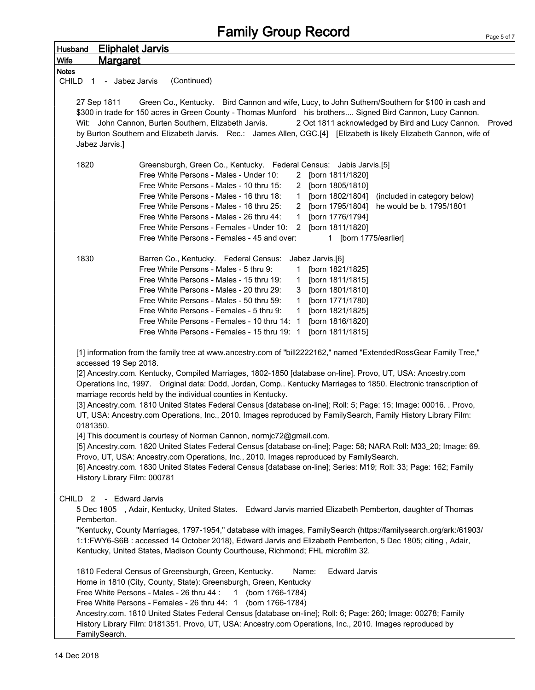| <b>Eliphalet Jarvis</b><br><b>Husband</b>                                                                                                                                                                                                                                                                                                                                                                                                                                                                                                                                                                                                                                                                                                                                                                                                                                                                                                                                                                                                                                                                                              |                                                                                                                                                                                          |
|----------------------------------------------------------------------------------------------------------------------------------------------------------------------------------------------------------------------------------------------------------------------------------------------------------------------------------------------------------------------------------------------------------------------------------------------------------------------------------------------------------------------------------------------------------------------------------------------------------------------------------------------------------------------------------------------------------------------------------------------------------------------------------------------------------------------------------------------------------------------------------------------------------------------------------------------------------------------------------------------------------------------------------------------------------------------------------------------------------------------------------------|------------------------------------------------------------------------------------------------------------------------------------------------------------------------------------------|
| <u>Margaret</u><br><b>Wife</b>                                                                                                                                                                                                                                                                                                                                                                                                                                                                                                                                                                                                                                                                                                                                                                                                                                                                                                                                                                                                                                                                                                         |                                                                                                                                                                                          |
| <b>Notes</b>                                                                                                                                                                                                                                                                                                                                                                                                                                                                                                                                                                                                                                                                                                                                                                                                                                                                                                                                                                                                                                                                                                                           |                                                                                                                                                                                          |
| (Continued)<br>CHILD 1 - Jabez Jarvis                                                                                                                                                                                                                                                                                                                                                                                                                                                                                                                                                                                                                                                                                                                                                                                                                                                                                                                                                                                                                                                                                                  |                                                                                                                                                                                          |
| 27 Sep 1811<br>Green Co., Kentucky. Bird Cannon and wife, Lucy, to John Suthern/Southern for \$100 in cash and<br>\$300 in trade for 150 acres in Green County - Thomas Munford his brothers Signed Bird Cannon, Lucy Cannon.<br>Wit: John Cannon, Burten Southern, Elizabeth Jarvis.<br>by Burton Southern and Elizabeth Jarvis. Rec.: James Allen, CGC.[4] [Elizabeth is likely Elizabeth Cannon, wife of<br>Jabez Jarvis.]                                                                                                                                                                                                                                                                                                                                                                                                                                                                                                                                                                                                                                                                                                          | 2 Oct 1811 acknowledged by Bird and Lucy Cannon. Proved                                                                                                                                  |
| 1820<br>Greensburgh, Green Co., Kentucky. Federal Census: Jabis Jarvis.[5]<br>Free White Persons - Males - Under 10:<br>Free White Persons - Males - 10 thru 15:<br>Free White Persons - Males - 16 thru 18:<br>$\mathbf{1}$<br>Free White Persons - Males - 16 thru 25:<br>Free White Persons - Males - 26 thru 44:<br>$\mathbf{1}$<br>Free White Persons - Females - Under 10: 2 [born 1811/1820]<br>Free White Persons - Females - 45 and over:                                                                                                                                                                                                                                                                                                                                                                                                                                                                                                                                                                                                                                                                                     | 2 [born 1811/1820]<br>2 [born 1805/1810]<br>[born 1802/1804]<br>(included in category below)<br>2 [born 1795/1804] he would be b. 1795/1801<br>[born 1776/1794]<br>1 [born 1775/earlier] |
| 1830<br>Barren Co., Kentucky. Federal Census:<br>Free White Persons - Males - 5 thru 9:<br>1.<br>Free White Persons - Males - 15 thru 19:<br>$\mathbf{1}$<br>Free White Persons - Males - 20 thru 29:<br>3<br>Free White Persons - Males - 50 thru 59:<br>$\mathbf{1}$<br>Free White Persons - Females - 5 thru 9:<br>$\mathbf{1}$<br>Free White Persons - Females - 10 thru 14: 1<br>Free White Persons - Females - 15 thru 19: 1                                                                                                                                                                                                                                                                                                                                                                                                                                                                                                                                                                                                                                                                                                     | Jabez Jarvis.[6]<br>[born 1821/1825]<br>[born 1811/1815]<br>[born 1801/1810]<br>[born 1771/1780]<br>[born 1821/1825]<br>[born 1816/1820]<br>[born 1811/1815]                             |
| [1] information from the family tree at www.ancestry.com of "bill2222162," named "ExtendedRossGear Family Tree,"<br>accessed 19 Sep 2018.<br>[2] Ancestry.com. Kentucky, Compiled Marriages, 1802-1850 [database on-line]. Provo, UT, USA: Ancestry.com<br>Operations Inc, 1997. Original data: Dodd, Jordan, Comp Kentucky Marriages to 1850. Electronic transcription of<br>marriage records held by the individual counties in Kentucky.<br>[3] Ancestry.com. 1810 United States Federal Census [database on-line]; Roll: 5; Page: 15; Image: 00016. . Provo,<br>UT, USA: Ancestry.com Operations, Inc., 2010. Images reproduced by FamilySearch, Family History Library Film:<br>0181350.<br>[4] This document is courtesy of Norman Cannon, normjc72@gmail.com.<br>[5] Ancestry.com. 1820 United States Federal Census [database on-line]; Page: 58; NARA Roll: M33_20; Image: 69.<br>Provo, UT, USA: Ancestry.com Operations, Inc., 2010. Images reproduced by FamilySearch.<br>[6] Ancestry.com. 1830 United States Federal Census [database on-line]; Series: M19; Roll: 33; Page: 162; Family<br>History Library Film: 000781 |                                                                                                                                                                                          |
| CHILD 2 - Edward Jarvis<br>5 Dec 1805 , Adair, Kentucky, United States. Edward Jarvis married Elizabeth Pemberton, daughter of Thomas<br>Pemberton.<br>"Kentucky, County Marriages, 1797-1954," database with images, FamilySearch (https://familysearch.org/ark:/61903/<br>1:1:FWY6-S6B: accessed 14 October 2018), Edward Jarvis and Elizabeth Pemberton, 5 Dec 1805; citing, Adair,<br>Kentucky, United States, Madison County Courthouse, Richmond; FHL microfilm 32.<br>1810 Federal Census of Greensburgh, Green, Kentucky.<br>Name:<br>Home in 1810 (City, County, State): Greensburgh, Green, Kentucky<br>Free White Persons - Males - 26 thru 44 :<br>1 (born 1766-1784)<br>Free White Persons - Females - 26 thru 44: 1 (born 1766-1784)<br>Ancestry.com. 1810 United States Federal Census [database on-line]; Roll: 6; Page: 260; Image: 00278; Family<br>History Library Film: 0181351. Provo, UT, USA: Ancestry.com Operations, Inc., 2010. Images reproduced by<br>FamilySearch.                                                                                                                                        | <b>Edward Jarvis</b>                                                                                                                                                                     |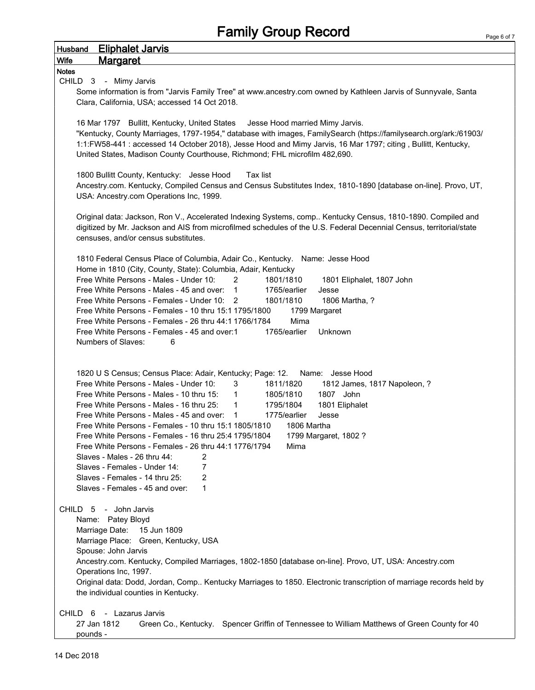| <b>Eliphalet Jarvis</b><br><b>Husband</b>                                                                                                                       |
|-----------------------------------------------------------------------------------------------------------------------------------------------------------------|
| <b>Margaret</b><br>Wife                                                                                                                                         |
| <b>Notes</b>                                                                                                                                                    |
| CHILD 3 - Mimy Jarvis<br>Some information is from "Jarvis Family Tree" at www.ancestry.com owned by Kathleen Jarvis of Sunnyvale, Santa                         |
| Clara, California, USA; accessed 14 Oct 2018.                                                                                                                   |
|                                                                                                                                                                 |
| 16 Mar 1797 Bullitt, Kentucky, United States<br>Jesse Hood married Mimy Jarvis.                                                                                 |
| "Kentucky, County Marriages, 1797-1954," database with images, FamilySearch (https://familysearch.org/ark:/61903/                                               |
| 1:1:FW58-441 : accessed 14 October 2018), Jesse Hood and Mimy Jarvis, 16 Mar 1797; citing, Bullitt, Kentucky,                                                   |
| United States, Madison County Courthouse, Richmond; FHL microfilm 482,690.                                                                                      |
| 1800 Bullitt County, Kentucky: Jesse Hood<br>Tax list                                                                                                           |
| Ancestry.com. Kentucky, Compiled Census and Census Substitutes Index, 1810-1890 [database on-line]. Provo, UT,                                                  |
| USA: Ancestry.com Operations Inc, 1999.                                                                                                                         |
|                                                                                                                                                                 |
| Original data: Jackson, Ron V., Accelerated Indexing Systems, comp Kentucky Census, 1810-1890. Compiled and                                                     |
| digitized by Mr. Jackson and AIS from microfilmed schedules of the U.S. Federal Decennial Census, territorial/state                                             |
| censuses, and/or census substitutes.                                                                                                                            |
| 1810 Federal Census Place of Columbia, Adair Co., Kentucky. Name: Jesse Hood                                                                                    |
| Home in 1810 (City, County, State): Columbia, Adair, Kentucky                                                                                                   |
| Free White Persons - Males - Under 10:<br>$\overline{2}$<br>1801/1810<br>1801 Eliphalet, 1807 John                                                              |
| Free White Persons - Males - 45 and over: 1<br>1765/earlier<br>Jesse                                                                                            |
| Free White Persons - Females - Under 10: 2<br>1806 Martha, ?<br>1801/1810                                                                                       |
| Free White Persons - Females - 10 thru 15:1 1795/1800<br>1799 Margaret                                                                                          |
| Free White Persons - Females - 26 thru 44:1 1766/1784<br>Mima<br>Free White Persons - Females - 45 and over:1<br>1765/earlier<br>Unknown                        |
| Numbers of Slaves:<br>6                                                                                                                                         |
|                                                                                                                                                                 |
|                                                                                                                                                                 |
| 1820 U S Census; Census Place: Adair, Kentucky; Page: 12.<br>Name: Jesse Hood                                                                                   |
| Free White Persons - Males - Under 10:<br>3<br>1811/1820<br>1812 James, 1817 Napoleon, ?                                                                        |
| Free White Persons - Males - 10 thru 15:<br>1805/1810<br>$\mathbf{1}$<br>1807 John                                                                              |
| Free White Persons - Males - 16 thru 25:<br>1795/1804<br>1801 Eliphalet<br>$\mathbf{1}$<br>1775/earlier<br>Free White Persons - Males - 45 and over: 1<br>Jesse |
| Free White Persons - Females - 10 thru 15:1 1805/1810<br>1806 Martha                                                                                            |
| Free White Persons - Females - 16 thru 25:4 1795/1804<br>1799 Margaret, 1802 ?                                                                                  |
| Free White Persons - Females - 26 thru 44:1 1776/1794<br>Mima                                                                                                   |
| Slaves - Males - 26 thru 44:<br>2                                                                                                                               |
| Slaves - Females - Under 14:<br>7                                                                                                                               |
| Slaves - Females - 14 thru 25:<br>$\overline{2}$                                                                                                                |
| Slaves - Females - 45 and over:<br>1                                                                                                                            |
| CHILD 5 - John Jarvis                                                                                                                                           |
| Name: Patey Bloyd                                                                                                                                               |
| Marriage Date:<br>15 Jun 1809                                                                                                                                   |
| Marriage Place: Green, Kentucky, USA                                                                                                                            |
| Spouse: John Jarvis                                                                                                                                             |
| Ancestry.com. Kentucky, Compiled Marriages, 1802-1850 [database on-line]. Provo, UT, USA: Ancestry.com                                                          |
| Operations Inc, 1997.<br>Original data: Dodd, Jordan, Comp Kentucky Marriages to 1850. Electronic transcription of marriage records held by                     |
| the individual counties in Kentucky.                                                                                                                            |
|                                                                                                                                                                 |
| CHILD 6 - Lazarus Jarvis                                                                                                                                        |
| Green Co., Kentucky. Spencer Griffin of Tennessee to William Matthews of Green County for 40<br>27 Jan 1812                                                     |
| pounds -                                                                                                                                                        |

 $\overline{1}$